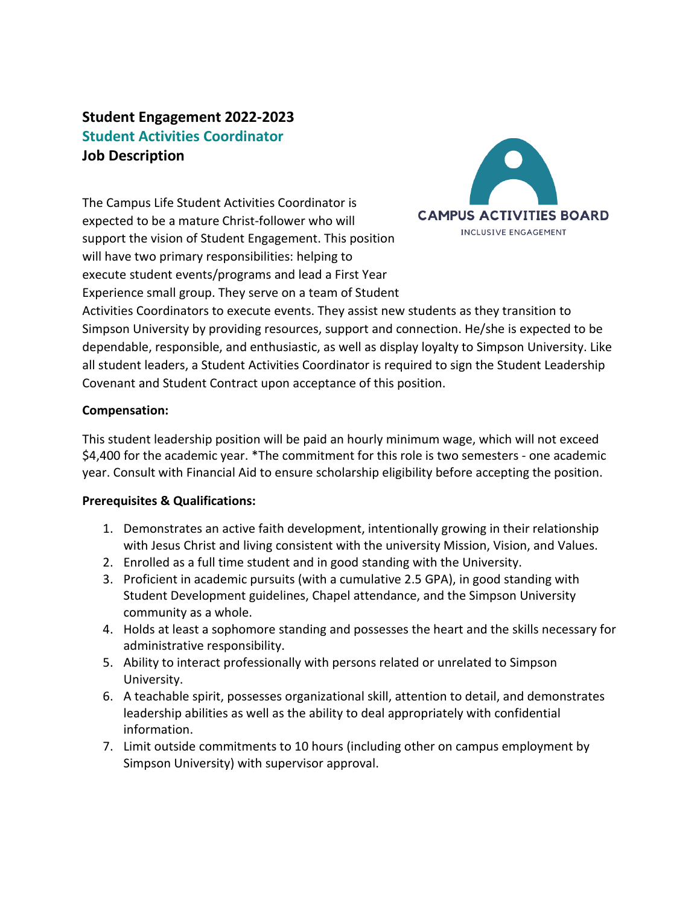# **Student Engagement 2022-2023 Student Activities Coordinator Job Description**

The Campus Life Student Activities Coordinator is expected to be a mature Christ-follower who will support the vision of Student Engagement. This position will have two primary responsibilities: helping to execute student events/programs and lead a First Year Experience small group. They serve on a team of Student



Activities Coordinators to execute events. They assist new students as they transition to Simpson University by providing resources, support and connection. He/she is expected to be dependable, responsible, and enthusiastic, as well as display loyalty to Simpson University. Like all student leaders, a Student Activities Coordinator is required to sign the Student Leadership Covenant and Student Contract upon acceptance of this position.

### **Compensation:**

This student leadership position will be paid an hourly minimum wage, which will not exceed \$4,400 for the academic year. \*The commitment for this role is two semesters - one academic year. Consult with Financial Aid to ensure scholarship eligibility before accepting the position.

#### **Prerequisites & Qualifications:**

- 1. Demonstrates an active faith development, intentionally growing in their relationship with Jesus Christ and living consistent with the university Mission, Vision, and Values.
- 2. Enrolled as a full time student and in good standing with the University.
- 3. Proficient in academic pursuits (with a cumulative 2.5 GPA), in good standing with Student Development guidelines, Chapel attendance, and the Simpson University community as a whole.
- 4. Holds at least a sophomore standing and possesses the heart and the skills necessary for administrative responsibility.
- 5. Ability to interact professionally with persons related or unrelated to Simpson University.
- 6. A teachable spirit, possesses organizational skill, attention to detail, and demonstrates leadership abilities as well as the ability to deal appropriately with confidential information.
- 7. Limit outside commitments to 10 hours (including other on campus employment by Simpson University) with supervisor approval.